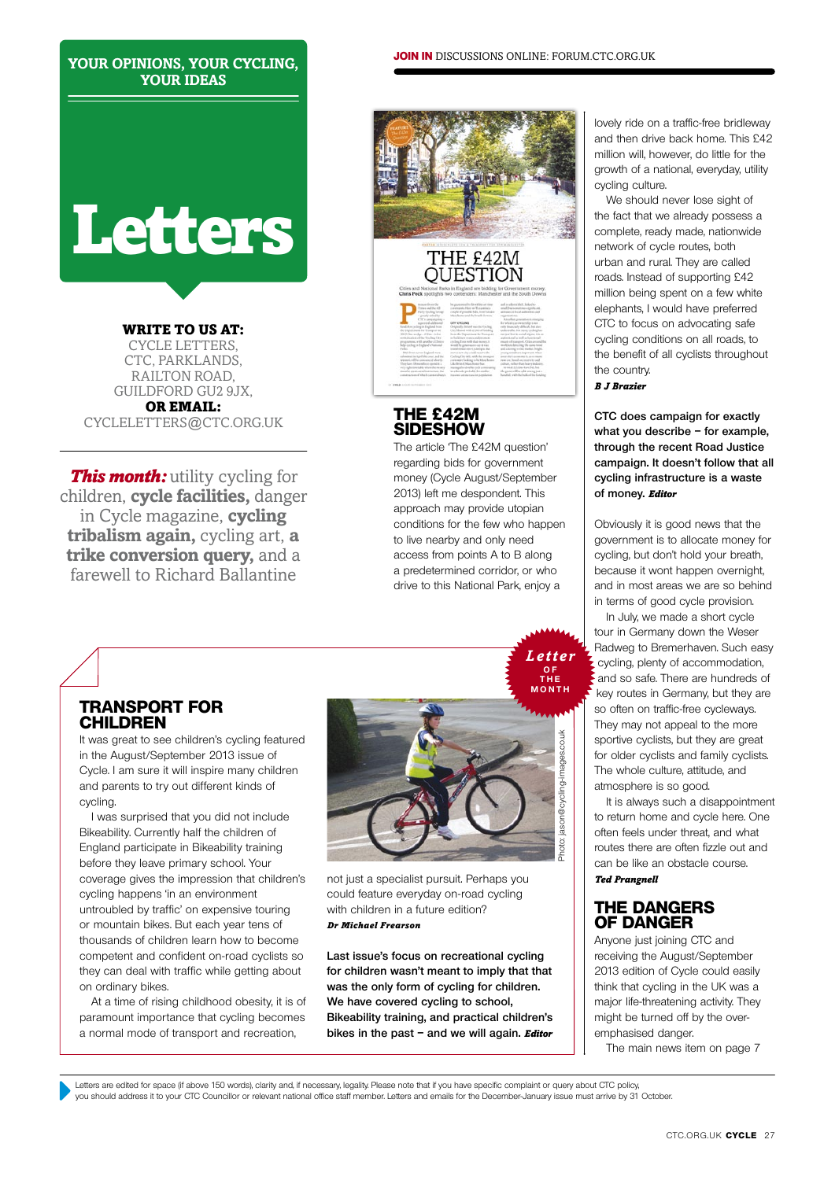### **your opinions, your cycling, your ideas**

# **Letters**

WRITE TO US AT: cycle letters, CTC, PARKLANDS, railton road, guildford gu2 9jx, or email: cycleletters@ctc.Org.Uk

*This month:* utility cycling for children, **cycle facilities,** danger in Cycle magazine, **cycling tribalism again,** cycling art, **a trike conversion query,** and a farewell to Richard Ballantine

# THE £42M<br>OUESTION

**join in** discussions online: forum.Ctc.Org.Uk

## **The £42M sideshow**

The article 'The £42M question' regarding bids for government money (Cycle August/September 2013) left me despondent. This approach may provide utopian conditions for the few who happen to live nearby and only need access from points A to B along a predetermined corridor, or who drive to this National Park, enjoy a

> *Letter* **o f**

# **Transport for children**

It was great to see children's cycling featured in the August/September 2013 issue of Cycle. I am sure it will inspire many children and parents to try out different kinds of cycling.

I was surprised that you did not include Bikeability. Currently half the children of England participate in Bikeability training before they leave primary school. Your coverage gives the impression that children's cycling happens 'in an environment untroubled by traffic' on expensive touring or mountain bikes. But each year tens of thousands of children learn how to become competent and confident on-road cyclists so they can deal with traffic while getting about on ordinary bikes.

At a time of rising childhood obesity, it is of paramount importance that cycling becomes a normal mode of transport and recreation,



not just a specialist pursuit. Perhaps you could feature everyday on-road cycling with children in a future edition? *Dr Michael Frearson*

**Last issue's focus on recreational cycling for children wasn't meant to imply that that was the only form of cycling for children. We have covered cycling to school, Bikeability training, and practical children's bikes in the past – and we will again.** *Editor*

lovely ride on a traffic-free bridleway and then drive back home. This £42 million will, however, do little for the growth of a national, everyday, utility cycling culture.

We should never lose sight of the fact that we already possess a complete, ready made, nationwide network of cycle routes, both urban and rural. They are called roads. Instead of supporting £42 million being spent on a few white elephants, I would have preferred CTC to focus on advocating safe cycling conditions on all roads, to the benefit of all cyclists throughout the country.

*B J Brazier*

**CTC does campaign for exactly what you describe – for example, through the recent Road Justice campaign. It doesn't follow that all cycling infrastructure is a waste of money.** *Editor*

Obviously it is good news that the government is to allocate money for cycling, but don't hold your breath, because it wont happen overnight, and in most areas we are so behind in terms of good cycle provision.

In July, we made a short cycle tour in Germany down the Weser Radweg to Bremerhaven. Such easy cycling, plenty of accommodation, and so safe. There are hundreds of key routes in Germany, but they are so often on traffic-free cycleways. They may not appeal to the more sportive cyclists, but they are great for older cyclists and family cyclists. The whole culture, attitude, and atmosphere is so good.

It is always such a disappointment to return home and cycle here. One often feels under threat, and what routes there are often fizzle out and can be like an obstacle course. *Ted Prangnell*

### **The dangers of danger**

Anyone just joining CTC and receiving the August/September 2013 edition of Cycle could easily think that cycling in the UK was a major life-threatening activity. They might be turned off by the overemphasised danger.

The main news item on page 7

Letters are edited for space (if above 150 words), clarity and, if necessary, legality. Please note that if you have specific complaint or query about CTC policy, you should address it to your CTC Councillor or relevant national office staff member. Letters and emails for the December-January issue must arrive by 31 October.